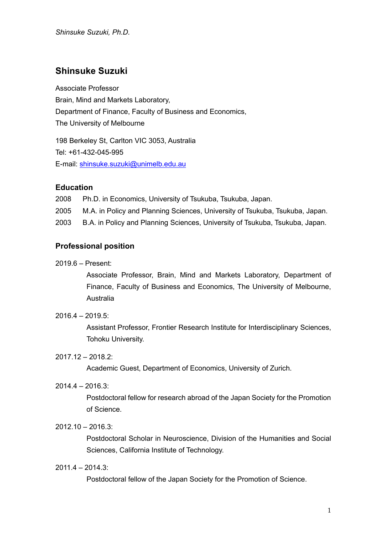# **Shinsuke Suzuki**

Associate Professor Brain, Mind and Markets Laboratory, Department of Finance, Faculty of Business and Economics, The University of Melbourne

198 Berkeley St, Carlton VIC 3053, Australia Tel: +61-432-045-995 E-mail: shinsuke.suzuki@unimelb.edu.au

# **Education**

2008 Ph.D. in Economics, University of Tsukuba, Tsukuba, Japan. 2005 M.A. in Policy and Planning Sciences, University of Tsukuba, Tsukuba, Japan. 2003 B.A. in Policy and Planning Sciences, University of Tsukuba, Tsukuba, Japan.

# **Professional position**

2019.6 – Present:

Associate Professor, Brain, Mind and Markets Laboratory, Department of Finance, Faculty of Business and Economics, The University of Melbourne, Australia

# 2016.4 – 2019.5:

Assistant Professor, Frontier Research Institute for Interdisciplinary Sciences, Tohoku University.

#### 2017.12 – 2018.2:

Academic Guest, Department of Economics, University of Zurich.

2014.4 – 2016.3:

Postdoctoral fellow for research abroad of the Japan Society for the Promotion of Science.

# 2012.10 – 2016.3:

Postdoctoral Scholar in Neuroscience, Division of the Humanities and Social Sciences, California Institute of Technology.

### 2011.4 – 2014.3:

Postdoctoral fellow of the Japan Society for the Promotion of Science.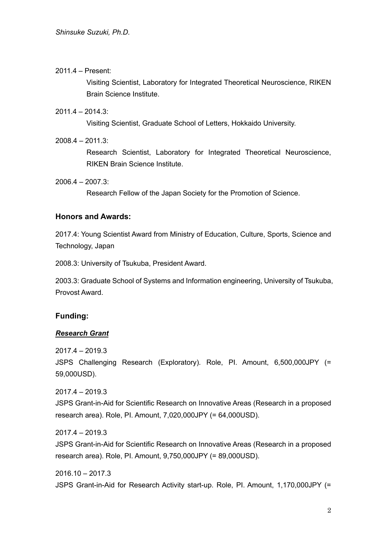### 2011.4 – Present:

Visiting Scientist, Laboratory for Integrated Theoretical Neuroscience, RIKEN Brain Science Institute.

### $2011.4 - 2014.3$

Visiting Scientist, Graduate School of Letters, Hokkaido University.

2008.4 – 2011.3:

Research Scientist, Laboratory for Integrated Theoretical Neuroscience, RIKEN Brain Science Institute.

 $2006.4 - 2007.3$ 

Research Fellow of the Japan Society for the Promotion of Science.

### **Honors and Awards:**

2017.4: Young Scientist Award from Ministry of Education, Culture, Sports, Science and Technology, Japan

2008.3: University of Tsukuba, President Award.

2003.3: Graduate School of Systems and Information engineering, University of Tsukuba, Provost Award.

# **Funding:**

### *Research Grant*

2017.4 – 2019.3

JSPS Challenging Research (Exploratory). Role, PI. Amount, 6,500,000JPY (= 59,000USD).

2017.4 – 2019.3 JSPS Grant-in-Aid for Scientific Research on Innovative Areas (Research in a proposed research area). Role, PI. Amount, 7,020,000JPY (= 64,000USD).

2017.4 – 2019.3

JSPS Grant-in-Aid for Scientific Research on Innovative Areas (Research in a proposed research area). Role, PI. Amount, 9,750,000JPY (= 89,000USD).

 $2016.10 - 2017.3$ JSPS Grant-in-Aid for Research Activity start-up. Role, PI. Amount, 1,170,000JPY (=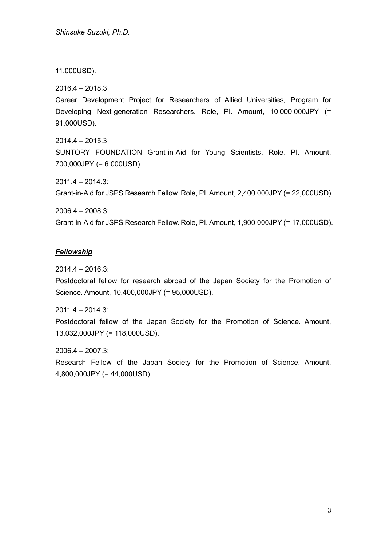11,000USD).

2016.4 – 2018.3

Career Development Project for Researchers of Allied Universities, Program for Developing Next-generation Researchers. Role, PI. Amount, 10,000,000JPY (= 91,000USD).

2014.4 – 2015.3 SUNTORY FOUNDATION Grant-in-Aid for Young Scientists. Role, PI. Amount, 700,000JPY (= 6,000USD).

2011.4 – 2014.3:

Grant-in-Aid for JSPS Research Fellow. Role, PI. Amount, 2,400,000JPY (= 22,000USD).

2006.4 – 2008.3:

Grant-in-Aid for JSPS Research Fellow. Role, PI. Amount, 1,900,000JPY (= 17,000USD).

# *Fellowship*

2014.4 – 2016.3:

Postdoctoral fellow for research abroad of the Japan Society for the Promotion of Science. Amount, 10,400,000JPY (= 95,000USD).

2011.4 – 2014.3:

Postdoctoral fellow of the Japan Society for the Promotion of Science. Amount, 13,032,000JPY (= 118,000USD).

2006.4 – 2007.3:

Research Fellow of the Japan Society for the Promotion of Science. Amount, 4,800,000JPY (= 44,000USD).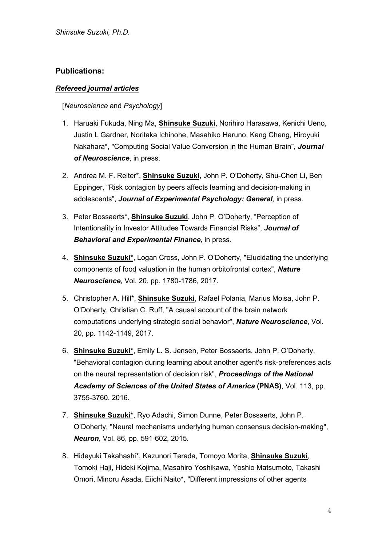# **Publications:**

# *Refereed journal articles*

### [*Neuroscience* and *Psychology*]

- 1. Haruaki Fukuda, Ning Ma, **Shinsuke Suzuki**, Norihiro Harasawa, Kenichi Ueno, Justin L Gardner, Noritaka Ichinohe, Masahiko Haruno, Kang Cheng, Hiroyuki Nakahara\*, "Computing Social Value Conversion in the Human Brain", *Journal of Neuroscience*, in press.
- 2. Andrea M. F. Reiter\*, **Shinsuke Suzuki**, John P. O'Doherty, Shu-Chen Li, Ben Eppinger, "Risk contagion by peers affects learning and decision-making in adolescents", *Journal of Experimental Psychology: General*, in press.
- 3. Peter Bossaerts\*, **Shinsuke Suzuki**, John P. O'Doherty, "Perception of Intentionality in Investor Attitudes Towards Financial Risks", *Journal of Behavioral and Experimental Finance*, in press.
- 4. **Shinsuke Suzuki\***, Logan Cross, John P. O'Doherty, "Elucidating the underlying components of food valuation in the human orbitofrontal cortex", *Nature Neuroscience*, Vol. 20, pp. 1780-1786, 2017.
- 5. Christopher A. Hill\*, **Shinsuke Suzuki**, Rafael Polania, Marius Moisa, John P. O'Doherty, Christian C. Ruff, "A causal account of the brain network computations underlying strategic social behavior", *Nature Neuroscience*, Vol. 20, pp. 1142-1149, 2017.
- 6. **Shinsuke Suzuki\***, Emily L. S. Jensen, Peter Bossaerts, John P. O'Doherty, "Behavioral contagion during learning about another agent's risk-preferences acts on the neural representation of decision risk", *Proceedings of the National Academy of Sciences of the United States of America* **(PNAS)**, Vol. 113, pp. 3755-3760, 2016.
- 7. **Shinsuke Suzuki**\*, Ryo Adachi, Simon Dunne, Peter Bossaerts, John P. O'Doherty, "Neural mechanisms underlying human consensus decision-making", *Neuron*, Vol. 86, pp. 591-602, 2015.
- 8. Hideyuki Takahashi\*, Kazunori Terada, Tomoyo Morita, **Shinsuke Suzuki**, Tomoki Haji, Hideki Kojima, Masahiro Yoshikawa, Yoshio Matsumoto, Takashi Omori, Minoru Asada, Eiichi Naito\*, "Different impressions of other agents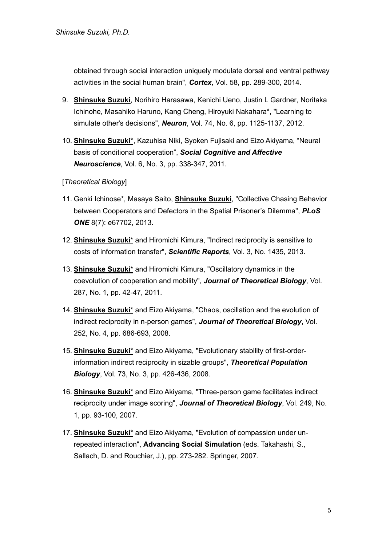obtained through social interaction uniquely modulate dorsal and ventral pathway activities in the social human brain", *Cortex*, Vol. 58, pp. 289-300, 2014.

- 9. **Shinsuke Suzuki**, Norihiro Harasawa, Kenichi Ueno, Justin L Gardner, Noritaka Ichinohe, Masahiko Haruno, Kang Cheng, Hiroyuki Nakahara\*, "Learning to simulate other's decisions", *Neuron*, Vol. 74, No. 6, pp. 1125-1137, 2012.
- 10. **Shinsuke Suzuki**\*, Kazuhisa Niki, Syoken Fujisaki and Eizo Akiyama, "Neural basis of conditional cooperation", *Social Cognitive and Affective Neuroscience*, Vol. 6, No. 3, pp. 338-347, 2011.

[*Theoretical Biology*]

- 11. Genki Ichinose\*, Masaya Saito, **Shinsuke Suzuki**, "Collective Chasing Behavior between Cooperators and Defectors in the Spatial Prisoner's Dilemma", *PLoS ONE* 8(7): e67702, 2013.
- 12. **Shinsuke Suzuki**\* and Hiromichi Kimura, "Indirect reciprocity is sensitive to costs of information transfer", *Scientific Reports*, Vol. 3, No. 1435, 2013.
- 13. **Shinsuke Suzuki**\* and Hiromichi Kimura, "Oscillatory dynamics in the coevolution of cooperation and mobility", *Journal of Theoretical Biology*, Vol. 287, No. 1, pp. 42-47, 2011.
- 14. **Shinsuke Suzuki**\* and Eizo Akiyama, "Chaos, oscillation and the evolution of indirect reciprocity in n-person games", *Journal of Theoretical Biology*, Vol. 252, No. 4, pp. 686-693, 2008.
- 15. **Shinsuke Suzuki**\* and Eizo Akiyama, "Evolutionary stability of first-orderinformation indirect reciprocity in sizable groups", *Theoretical Population Biology*, Vol. 73, No. 3, pp. 426-436, 2008.
- 16. **Shinsuke Suzuki**\* and Eizo Akiyama, "Three-person game facilitates indirect reciprocity under image scoring", *Journal of Theoretical Biology*, Vol. 249, No. 1, pp. 93-100, 2007.
- 17. **Shinsuke Suzuki**\* and Eizo Akiyama, "Evolution of compassion under unrepeated interaction", **Advancing Social Simulation** (eds. Takahashi, S., Sallach, D. and Rouchier, J.), pp. 273-282. Springer, 2007.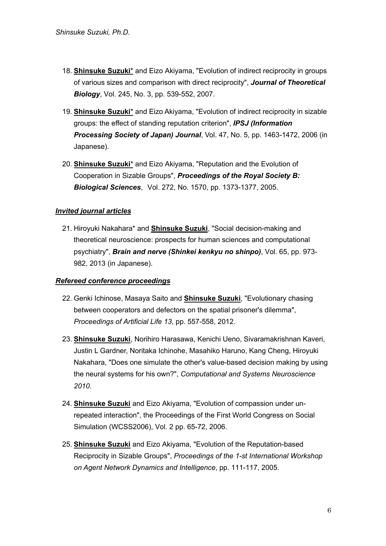- 18. **Shinsuke Suzuki**\* and Eizo Akiyama, "Evolution of indirect reciprocity in groups of various sizes and comparison with direct reciprocity", *Journal of Theoretical Biology*, Vol. 245, No. 3, pp. 539-552, 2007.
- 19. **Shinsuke Suzuki**\* and Eizo Akiyama, "Evolution of indirect reciprocity in sizable groups: the effect of standing reputation criterion", *IPSJ (Information Processing Society of Japan) Journal*, Vol. 47, No. 5, pp. 1463-1472, 2006 (in Japanese).
- 20. **Shinsuke Suzuki**\* and Eizo Akiyama, "Reputation and the Evolution of Cooperation in Sizable Groups", *Proceedings of the Royal Society B: Biological Sciences*, Vol. 272, No. 1570, pp. 1373-1377, 2005.

# *Invited journal articles*

21. Hiroyuki Nakahara\* and **Shinsuke Suzuki**, "Social decision-making and theoretical neuroscience: prospects for human sciences and computational psychiatry", *Brain and nerve (Shinkei kenkyu no shinpo)*, Vol. 65, pp. 973- 982, 2013 (in Japanese).

### *Refereed conference proceedings*

- 22. Genki Ichinose, Masaya Saito and **Shinsuke Suzuki**, "Evolutionary chasing between cooperators and defectors on the spatial prisoner's dilemma", *Proceedings of Artificial Life 13*, pp. 557-558, 2012.
- 23. **Shinsuke Suzuki**, Norihiro Harasawa, Kenichi Ueno, Sivaramakrishnan Kaveri, Justin L Gardner, Noritaka Ichinohe, Masahiko Haruno, Kang Cheng, Hiroyuki Nakahara, "Does one simulate the other's value-based decision making by using the neural systems for his own?", *Computational and Systems Neuroscience 2010*.
- 24. **Shinsuke Suzuki** and Eizo Akiyama, "Evolution of compassion under unrepeated interaction", the Proceedings of the First World Congress on Social Simulation (WCSS2006), Vol. 2 pp. 65-72, 2006.
- 25. **Shinsuke Suzuki** and Eizo Akiyama, "Evolution of the Reputation-based Reciprocity in Sizable Groups", *Proceedings of the 1-st International Workshop on Agent Network Dynamics and Intelligence*, pp. 111-117, 2005.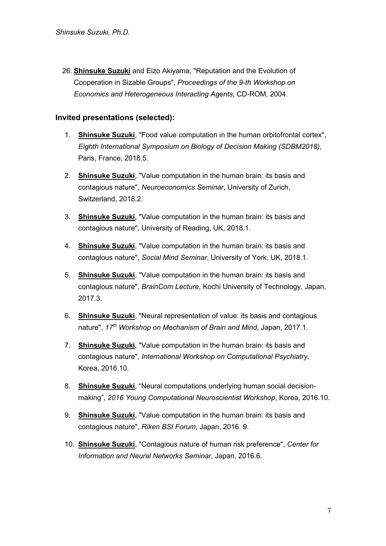26. **Shinsuke Suzuki** and Eizo Akiyama, "Reputation and the Evolution of Cooperation in Sizable Groups", *Proceedings of the 9-th Workshop on Economics and Heterogeneous Interacting Agents*, CD-ROM, 2004.

### **Invited presentations (selected):**

- 1. **Shinsuke Suzuki**, "Food value computation in the human orbitofrontal cortex", *Eighth International Symposium on Biology of Decision Making (SDBM2018)*, Paris, France, 2018.5.
- 2. **Shinsuke Suzuki**, "Value computation in the human brain: its basis and contagious nature", *Neuroeconomics Seminar*, University of Zurich, Switzerland, 2018.2.
- 3. **Shinsuke Suzuki**, "Value computation in the human brain: its basis and contagious nature", University of Reading, UK, 2018.1.
- 4. **Shinsuke Suzuki**, "Value computation in the human brain: its basis and contagious nature", *Social Mind Seminar*, University of York, UK, 2018.1.
- 5. **Shinsuke Suzuki**, "Value computation in the human brain: its basis and contagious nature", *BrainCom Lecture*, Kochi University of Technology, Japan, 2017.3.
- 6. **Shinsuke Suzuki**, "Neural representation of value: its basis and contagious nature", *17th Workshop on Mechanism of Brain and Mind*, Japan, 2017.1.
- 7. **Shinsuke Suzuki**, "Value computation in the human brain: its basis and contagious nature", *International Workshop on Computational Psychiatry*, Korea, 2016.10.
- 8. **Shinsuke Suzuki**, "Neural computations underlying human social decisionmaking", *2016 Young Computational Neuroscientist Workshop*, Korea, 2016.10.
- 9. **Shinsuke Suzuki**, "Value computation in the human brain: its basis and contagious nature", *Riken BSI Forum*, Japan, 2016. 9.
- 10. **Shinsuke Suzuki**, "Contagious nature of human risk preference", *Center for Information and Neural Networks Seminar*, Japan, 2016.6.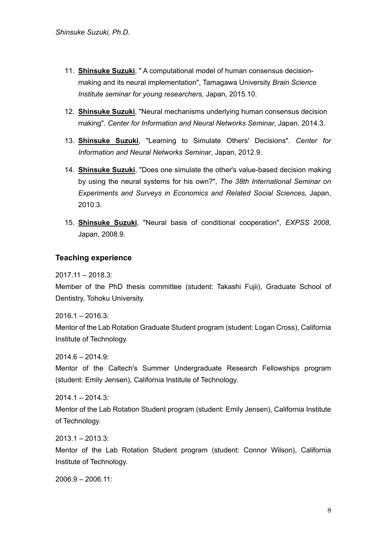- 11. **Shinsuke Suzuki**, " A computational model of human consensus decisionmaking and its neural implementation", Tamagawa University *Brain Science Institute seminar for young researchers*, Japan, 2015.10.
- 12. **Shinsuke Suzuki**, "Neural mechanisms underlying human consensus decision making". *Center for Information and Neural Networks Seminar*, Japan, 2014.3.
- 13. **Shinsuke Suzuki**, "Learning to Simulate Others' Decisions". *Center for Information and Neural Networks Seminar*, Japan, 2012.9.
- 14. **Shinsuke Suzuki**, "Does one simulate the other's value-based decision making by using the neural systems for his own?", *The 38th International Seminar on Experiments and Surveys in Economics and Related Social Sciences*, Japan, 2010.3.
- 15. **Shinsuke Suzuki**, "Neural basis of conditional cooperation", *EXPSS 2008*, Japan, 2008.9.

# **Teaching experience**

 $2017.11 - 2018.3$ 

Member of the PhD thesis committee (student: Takashi Fujii), Graduate School of Dentistry, Tohoku University.

 $2016.1 - 2016.3$ :

Mentor of the Lab Rotation Graduate Student program (student: Logan Cross), California Institute of Technology.

 $2014.6 - 2014.9$ :

Mentor of the Caltech's Summer Undergraduate Research Fellowships program (student: Emily Jensen), California Institute of Technology.

2014.1 – 2014.3:

Mentor of the Lab Rotation Student program (student: Emily Jensen), California Institute of Technology.

2013.1 – 2013.3:

Mentor of the Lab Rotation Student program (student: Connor Wilson), California Institute of Technology.

2006.9 – 2006.11: